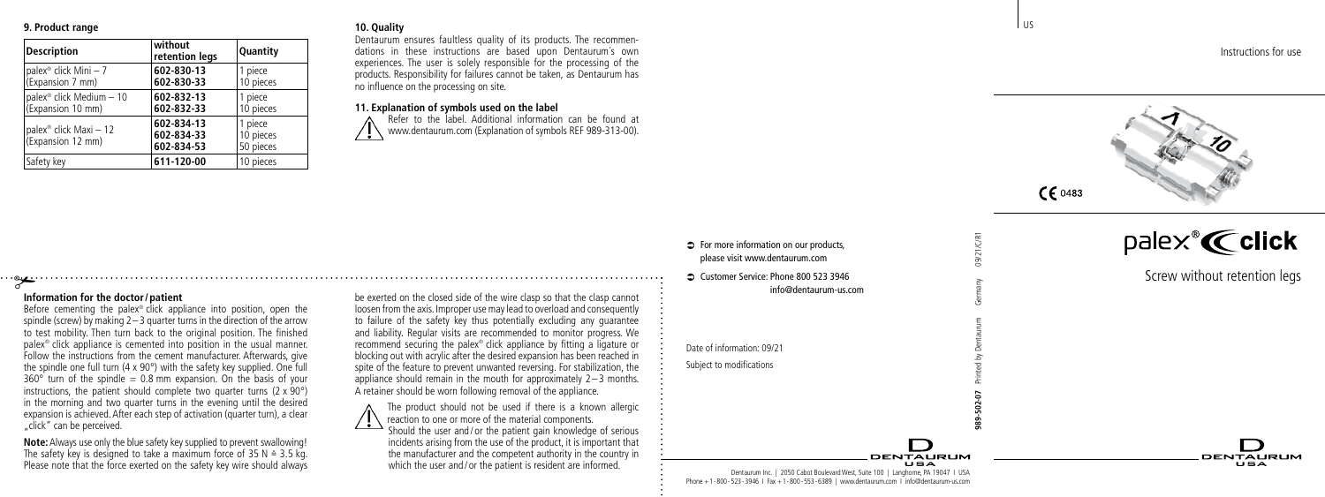## **9. Product range**

| <b>Description</b>                                      | without<br>retention legs              | Quantity                          |
|---------------------------------------------------------|----------------------------------------|-----------------------------------|
| palex <sup>®</sup> click Mini - 7<br>(Expansion 7 mm)   | 602-830-13<br>602-830-33               | 1 piece<br>10 pieces              |
| palex® click Medium - 10<br>(Expansion 10 mm)           | 602-832-13<br>602-832-33               | 1 piece<br>10 pieces              |
| palex <sup>®</sup> click Maxi - 12<br>(Expansion 12 mm) | 602-834-13<br>602-834-33<br>602-834-53 | 1 piece<br>10 pieces<br>50 pieces |
| Safety key                                              | 611-120-00                             | 10 pieces                         |

#### **10. Quality**

Dentaurum ensures faultless quality of its products. The recommendations in these instructions are based upon Dentaurum´s own experiences. The user is solely responsible for the processing of the products. Responsibility for failures cannot be taken, as Dentaurum has no influence on the processing on site.

#### **11. Explanation of symbols used on the label**

Refer to the label. Additional information can be found at www.dentaurum.com (Explanation of symbols REF 989-313-00).

# # **Information for the doctor/patient**

Before cementing the palex<sup>®</sup> click appliance into position, open the spindle (screw) by making  $2 - 3$  quarter turns in the direction of the arrow to test mobility. Then turn back to the original position. The finished palex® click appliance is cemented into position in the usual manner. Follow the instructions from the cement manufacturer. Afterwards, give the spindle one full turn (4 x 90°) with the safety key supplied. One full  $360^\circ$  turn of the spindle  $= 0.8$  mm expansion. On the basis of your instructions, the patient should complete two quarter turns  $(2 \times 90^{\circ})$ in the morning and two quarter turns in the evening until the desired expansion is achieved. After each step of activation (quarter turn), a clear "click" can be perceived.

**Note:** Always use only the blue safety key supplied to prevent swallowing! The safety key is designed to take a maximum force of 35 N  $\triangleq$  3.5 kg. Please note that the force exerted on the safety key wire should always be exerted on the closed side of the wire clasp so that the clasp cannot loosen from the axis. Improper use may lead to overload and consequently to failure of the safety key thus potentially excluding any guarantee and liability. Regular visits are recommended to monitor progress. We recommend securing the palex® click appliance by fitting a ligature or blocking out with acrylic after the desired expansion has been reached in spite of the feature to prevent unwanted reversing. For stabilization, the appliance should remain in the mouth for approximately  $2 - 3$  months. A retainer should be worn following removal of the appliance.

The product should not be used if there is a known allergic reaction to one or more of the material components. Should the user and / or the patient gain knowledge of serious incidents arising from the use of the product, it is important that the manufacturer and the competent authority in the country in which the user and / or the patient is resident are informed.

 $\Rightarrow$  For more information on our products. please visit www.dentaurum.com

Â Customer Service: Phone 800 523 3946 info@dentaurum-us.com

Date of information: 09/21 Subject to modifications

Dentaurum Inc. | 2050 Cabot Boulevard West, Suite 100 | Langhorne, PA 19047 I USA Phone +1-800-523-3946 I Fax +1-800-553-6389 | www.dentaurum.com I info@dentaurum-us.com Instructions for use



l us

**989-502-07** Printed by Dentaurum Germany 09/21/C/R1

**DENTALIBUM** 

palex  $K$  click

Screw without retention legs

**DENTALIBLIM**  $\mathbf{H} = \mathbf{A}$